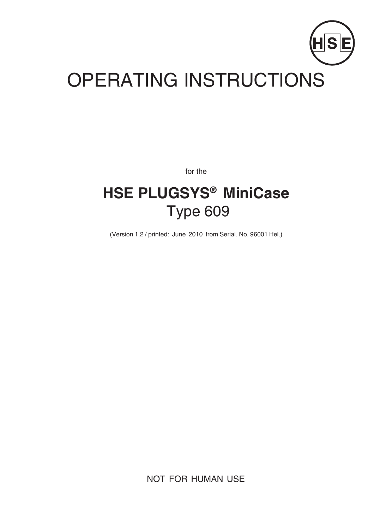

# OPERATING INSTRUCTIONS

for the

## **HSE PLUGSYS® MiniCase** Type 609

(Version 1.2 / printed: June 2010 from Serial. No. 96001 Hel.)

NOT FOR HUMAN USE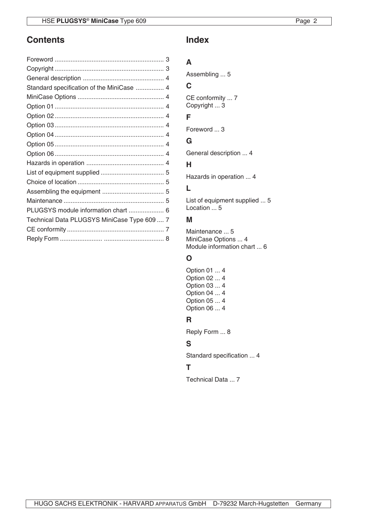## **Contents**

| Standard specification of the MiniCase  4   |  |
|---------------------------------------------|--|
|                                             |  |
|                                             |  |
|                                             |  |
|                                             |  |
|                                             |  |
|                                             |  |
|                                             |  |
|                                             |  |
|                                             |  |
|                                             |  |
|                                             |  |
|                                             |  |
| PLUGSYS module information chart  6         |  |
| Technical Data PLUGSYS MiniCase Type 609  7 |  |
|                                             |  |
|                                             |  |

## **Index**

## **A**

Assembling ... 5

## **C**

CE conformity ... 7 Copyright ... 3

## **F**

Foreword ... 3

## **G**

General description ... 4

## **H**

Hazards in operation ... 4

## **L**

List of equipment supplied ... 5 Location ... 5

### **M**

Maintenance ... 5 MiniCase Options ... 4 Module information chart ... 6

## **O**

Option 01 ... 4 Option 02 ... 4 Option 03 ... 4 Option 04 ... 4 Option 05 ... 4 Option 06 ... 4

## **R**

Reply Form ... 8

## **S**

Standard specification ... 4

## **T**

Technical Data ... 7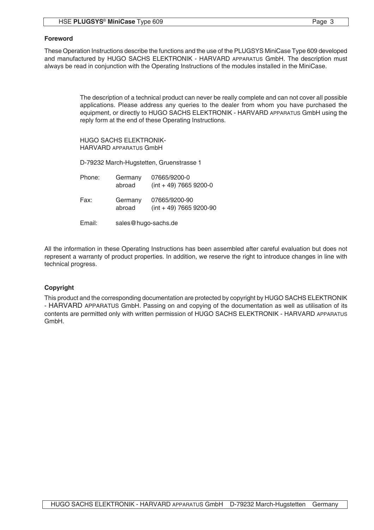These Operation Instructions describe the functions and the use of the PLUGSYS MiniCase Type 609 developed and manufactured by HUGO SACHS ELEKTRONIK - HARVARD APPARATUS GmbH. The description must always be read in conjunction with the Operating Instructions of the modules installed in the MiniCase.

> The description of a technical product can never be really complete and can not cover all possible applications. Please address any queries to the dealer from whom you have purchased the equipment, or directly to HUGO SACHS ELEKTRONIK - HARVARD APPARATUS GmbH using the reply form at the end of these Operating Instructions.

HUGO SACHS ELEKTRONIK-HARVARD APPARATUS GmbH

D-79232 March-Hugstetten, Gruenstrasse 1

| Phone: | Germany<br>abroad   | 07665/9200-0<br>$(int + 49)$ 7665 9200-0   |  |
|--------|---------------------|--------------------------------------------|--|
| Fax:   | Germany<br>abroad   | 07665/9200-90<br>$(int + 49)$ 7665 9200-90 |  |
| Email: | sales@hugo-sachs.de |                                            |  |

All the information in these Operating Instructions has been assembled after careful evaluation but does not represent a warranty of product properties. In addition, we reserve the right to introduce changes in line with technical progress.

#### **Copyright**

This product and the corresponding documentation are protected by copyright by HUGO SACHS ELEKTRONIK - HARVARD APPARATUS GmbH. Passing on and copying of the documentation as well as utilisation of its contents are permitted only with written permission of HUGO SACHS ELEKTRONIK - HARVARD APPARATUS GmbH.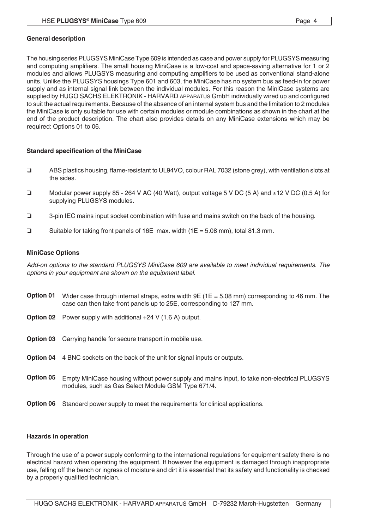#### **General description**

The housing series PLUGSYS MiniCase Type 609 is intended as case and power supply for PLUGSYS measuring and computing amplifiers. The small housing MiniCase is a low-cost and space-saving alternative for 1 or 2 modules and allows PLUGSYS measuring and computing amplifiers to be used as conventional stand-alone units. Unlike the PLUGSYS housings Type 601 and 603, the MiniCase has no system bus as feed-in for power supply and as internal signal link between the individual modules. For this reason the MiniCase systems are supplied by HUGO SACHS ELEKTRONIK - HARVARD APPARATUS GmbH individually wired up and configured to suit the actual requirements. Because of the absence of an internal system bus and the limitation to 2 modules the MiniCase is only suitable for use with certain modules or module combinations as shown in the chart at the end of the product description. The chart also provides details on any MiniCase extensions which may be required: Options 01 to 06.

#### **Standard specification of the MiniCase**

- R ABS plastics housing, flame-resistant to UL94VO, colour RAL 7032 (stone grey), with ventilation slots at the sides.
- Modular power supply 85 264 V AC (40 Watt), output voltage 5 V DC (5 A) and  $\pm$  12 V DC (0.5 A) for supplying PLUGSYS modules.
- $\Box$  3-pin IEC mains input socket combination with fuse and mains switch on the back of the housing.
- **Example 1** Suitable for taking front panels of 16E max. width ( $1E = 5.08$  mm), total 81.3 mm.

#### **MiniCase Options**

*Add-on options to the standard PLUGSYS MiniCase 609 are available to meet individual requirements. The options in your equipment are shown on the equipment label.*

- Option 01 Wider case through internal straps, extra width 9E (1E = 5.08 mm) corresponding to 46 mm. The case can then take front panels up to 25E, corresponding to 127 mm.
- **Option 02** Power supply with additional +24 V (1.6 A) output.
- Option 03 Carrying handle for secure transport in mobile use.
- Option 04 4 BNC sockets on the back of the unit for signal inputs or outputs.
- Option 05 Empty MiniCase housing without power supply and mains input, to take non-electrical PLUGSYS modules, such as Gas Select Module GSM Type 671/4.
- **Option 06** Standard power supply to meet the requirements for clinical applications.

#### **Hazards in operation**

Through the use of a power supply conforming to the international regulations for equipment safety there is no electrical hazard when operating the equipment. If however the equipment is damaged through inappropriate use, falling off the bench or ingress of moisture and dirt it is essential that its safety and functionality is checked by a properly qualified technician.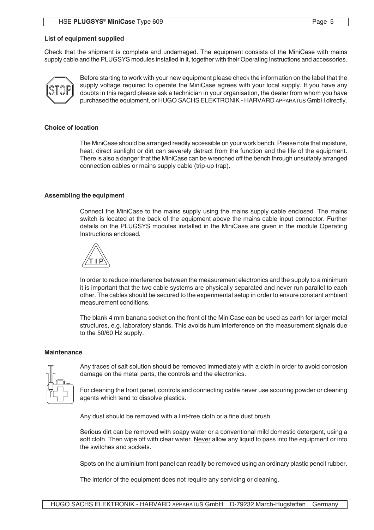#### **List of equipment supplied**

Check that the shipment is complete and undamaged. The equipment consists of the MiniCase with mains supply cable and the PLUGSYS modules installed in it, together with their Operating Instructions and accessories.



Before starting to work with your new equipment please check the information on the label that the supply voltage required to operate the MiniCase agrees with your local supply. If you have any doubts in this regard please ask a technician in your organisation, the dealer from whom you have purchased the equipment, or HUGO SACHS ELEKTRONIK - HARVARD APPARATUS GmbH directly.

#### **Choice of location**

The MiniCase should be arranged readily accessible on your work bench. Please note that moisture, heat, direct sunlight or dirt can severely detract from the function and the life of the equipment. There is also a danger that the MiniCase can be wrenched off the bench through unsuitably arranged connection cables or mains supply cable (trip-up trap).

#### **Assembling the equipment**

Connect the MiniCase to the mains supply using the mains supply cable enclosed. The mains switch is located at the back of the equipment above the mains cable input connector. Further details on the PLUGSYS modules installed in the MiniCase are given in the module Operating Instructions enclosed.



In order to reduce interference between the measurement electronics and the supply to a minimum it is important that the two cable systems are physically separated and never run parallel to each other. The cables should be secured to the experimental setup in order to ensure constant ambient measurement conditions.

The blank 4 mm banana socket on the front of the MiniCase can be used as earth for larger metal structures, e.g. laboratory stands. This avoids hum interference on the measurement signals due to the 50/60 Hz supply.

#### **Maintenance**



Any traces of salt solution should be removed immediately with a cloth in order to avoid corrosion damage on the metal parts, the controls and the electronics.

For cleaning the front panel, controls and connecting cable never use scouring powder or cleaning agents which tend to dissolve plastics.

Any dust should be removed with a lint-free cloth or a fine dust brush.

Serious dirt can be removed with soapy water or a conventional mild domestic detergent, using a soft cloth. Then wipe off with clear water. Never allow any liquid to pass into the equipment or into the switches and sockets.

Spots on the aluminium front panel can readily be removed using an ordinary plastic pencil rubber.

The interior of the equipment does not require any servicing or cleaning.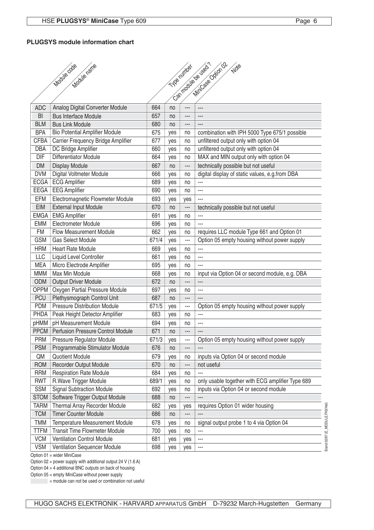#### **PLUGSYS module information chart**

|                         | Modile ode<br>Modile ratre                            |            |            | TVP nimber           | Can module ve used ?<br>MiniCase Odion O2<br>Note          |
|-------------------------|-------------------------------------------------------|------------|------------|----------------------|------------------------------------------------------------|
|                         |                                                       |            |            |                      |                                                            |
|                         |                                                       |            |            |                      |                                                            |
|                         |                                                       |            |            |                      |                                                            |
| <b>ADC</b>              | Analog Digital Converter Module                       | 664        | no         | ---<br>---           | $\overline{a}$                                             |
| <b>BI</b><br><b>BLM</b> | <b>Bus Interface Module</b><br><b>Bus Link Module</b> | 657        | no         | ---                  | $\overline{a}$                                             |
| <b>BPA</b>              | <b>Bio Potential Amplifier Module</b>                 | 680<br>675 | no         |                      | combination with IPH 5000 Type 675/1 possible              |
| <b>CFBA</b>             | Carrier Frequency Bridge Amplifier                    | 677        | yes<br>yes | no<br>no             | unfiltered output only with option 04                      |
| <b>DBA</b>              | DC Bridge Amplifier                                   | 660        | yes        | no                   | unfiltered output only with option 04                      |
| $\overline{DIF}$        | <b>Differentiator Module</b>                          | 664        | yes        | no                   | MAX and MIN output only with option 04                     |
| <b>DM</b>               | <b>Display Module</b>                                 | 667        | no         | ---                  | technically possible but not useful                        |
| <b>DVM</b>              | Digital Voltmeter Module                              | 666        | yes        | no                   | digital display of static values, e.g.from DBA             |
| <b>ECGA</b>             | <b>ECG Amplifier</b>                                  | 689        |            | no                   |                                                            |
| EEGA                    | <b>EEG Amplifier</b>                                  | 690        | yes<br>yes | no                   | ---                                                        |
| <b>EFM</b>              | Electromagnetic Flowmeter Module                      | 693        |            |                      | $\overline{a}$                                             |
| <b>EIM</b>              | <b>External Input Module</b>                          | 670        | yes        | yes<br>---           |                                                            |
| <b>EMGA</b>             | <b>EMG Amplifier</b>                                  | 691        | no         |                      | technically possible but not useful<br>---                 |
| <b>EMM</b>              | Electrometer Module                                   | 696        | yes        | no                   | ---                                                        |
| <b>FM</b>               | <b>Flow Measurement Module</b>                        | 662        | yes        | no                   | requires LLC module Type 661 and Option 01                 |
| <b>GSM</b>              | <b>Gas Select Module</b>                              | 671/4      | yes        | no<br>---            | Option 05 empty housing without power supply               |
| <b>HRM</b>              |                                                       |            | yes        |                      | ---                                                        |
|                         | <b>Heart Rate Module</b>                              | 669        | yes        | no                   |                                                            |
| LLC<br><b>MEA</b>       | Liquid Level Controller<br>Micro Electrode Amplifier  | 661<br>695 | yes        | no                   | ---<br>---                                                 |
| <b>MMM</b>              | Max Min Module                                        | 668        | yes        | no                   | input via Option 04 or second module, e.g. DBA             |
| ODM                     | <b>Output Driver Module</b>                           | 672        | yes<br>no  | no<br>$\overline{a}$ |                                                            |
| <b>OPPM</b>             | Oxygen Partial Pressure Module                        | 697        | yes        | no                   | ---                                                        |
| <b>PCU</b>              | Plethysmograph Control Unit                           | 687        | no         | ---                  |                                                            |
| <b>PDM</b>              | <b>Pressure Distribution Module</b>                   | 671/5      | yes        | ---                  | Option 05 empty housing without power supply               |
| <b>PHDA</b>             | Peak Height Detector Amplifier                        | 683        | yes        | no                   |                                                            |
| <b>NMHq</b>             | pH Measurement Module                                 | 694        | yes        | no                   | ---                                                        |
| <b>PPCM</b>             | <b>Perfusion Pressure Control Module</b>              | 671        | no         | ---                  |                                                            |
| <b>PRM</b>              | <b>Pressure Regulator Module</b>                      | 671/3      | ves        | ---                  | Option 05 empty housing without power supply               |
| <b>PSM</b>              | Programmable Stimulator Module                        | 676        | no         | ---                  | ---                                                        |
| QM                      | <b>Quotient Module</b>                                | 679        | yes        | no                   | inputs via Option 04 or second module                      |
| ROM                     | <b>Recorder Output Module</b>                         | 670        | no         | ---                  | not useful                                                 |
| <b>RRM</b>              | <b>Respiration Rate Module</b>                        | 684        | yes        | no                   |                                                            |
| <b>RWT</b>              | R. Wave Trigger Module                                | 689/1      | yes        | no                   | only usable together with ECG amplifier Type 689           |
| <b>SSM</b>              | <b>Signal Subtraction Module</b>                      | 692        | yes        | no                   | inputs via Option 04 or second module                      |
| <b>STOM</b>             | Software Trigger Output Module                        | 688        | no         |                      |                                                            |
| <b>TARM</b>             | Thermal Array Recorder Module                         | 682        | yes        | yes                  | requires Option 01 wider housing                           |
| <b>TCM</b>              | <b>Timer Counter Module</b>                           | 686        | no         | ---                  |                                                            |
| <b>TMM</b>              | Temperature Measurement Module                        | 678        |            | no                   | signal output probe 1 to 4 via Option 04                   |
| <b>TTFM</b>             | <b>Transit Time Flowmeter Module</b>                  | 700        | yes<br>yes | no                   | ---                                                        |
| <b>VCM</b>              | <b>Ventilation Control Module</b>                     | 681        | yes        | yes                  | Stand 02/97 (E_MODULE.FH3/Hel)<br>$\overline{\phantom{a}}$ |
| <b>VSM</b>              | Ventilation Sequencer Module                          | 698        | yes        | yes                  |                                                            |
|                         |                                                       |            |            |                      |                                                            |

Option 01 = wider MiniCase

Option 02 = power supply with additional output 24 V (1.6 A)

Option 04 = 4 additional BNC outputs on back of housing

Option 05 = empty MiniCase without power supply

= module can not be used or combination not useful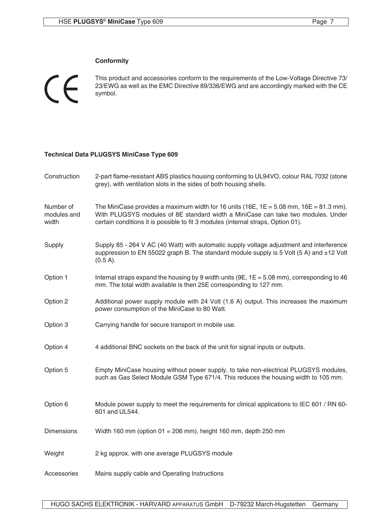#### **Conformity**

 $\epsilon$ 

This product and accessories conform to the requirements of the Low-Voltage Directive 73/ 23/EWG as well as the EMC Directive 89/336/EWG and are accordingly marked with the CE symbol.

#### **Technical Data PLUGSYS MiniCase Type 609**

| Construction                      | 2-part flame-resistant ABS plastics housing conforming to UL94VO, colour RAL 7032 (stone<br>grey), with ventilation slots in the sides of both housing shells.                                                                                                     |
|-----------------------------------|--------------------------------------------------------------------------------------------------------------------------------------------------------------------------------------------------------------------------------------------------------------------|
| Number of<br>modules and<br>width | The MiniCase provides a maximum width for 16 units (16E, $1E = 5.08$ mm, $16E = 81.3$ mm).<br>With PLUGSYS modules of 8E standard width a MiniCase can take two modules. Under<br>certain conditions it is possible to fit 3 modules (internal straps, Option 01). |
| Supply                            | Supply 85 - 264 V AC (40 Watt) with automatic supply voltage adjustment and interference<br>suppression to EN 55022 graph B. The standard module supply is 5 Volt (5 A) and $\pm$ 12 Volt<br>$(0.5 A)$ .                                                           |
| Option 1                          | Internal straps expand the housing by 9 width units (9E, $1E = 5.08$ mm), corresponding to 46<br>mm. The total width available is then 25E corresponding to 127 mm.                                                                                                |
| Option 2                          | Additional power supply module with 24 Volt (1.6 A) output. This increases the maximum<br>power consumption of the MiniCase to 80 Watt.                                                                                                                            |
| Option 3                          | Carrying handle for secure transport in mobile use.                                                                                                                                                                                                                |
| Option 4                          | 4 additional BNC sockets on the back of the unit for signal inputs or outputs.                                                                                                                                                                                     |
| Option 5                          | Empty MiniCase housing without power supply, to take non-electrical PLUGSYS modules,<br>such as Gas Select Module GSM Type 671/4. This reduces the housing width to 105 mm.                                                                                        |
| Option 6                          | Module power supply to meet the requirements for clinical applications to IEC 601 / RN 60-<br>601 and UL544.                                                                                                                                                       |
| <b>Dimensions</b>                 | Width 160 mm (option $01 = 206$ mm), height 160 mm, depth 250 mm                                                                                                                                                                                                   |
| Weight                            | 2 kg approx. with one average PLUGSYS module                                                                                                                                                                                                                       |
| Accessories                       | Mains supply cable and Operating Instructions                                                                                                                                                                                                                      |